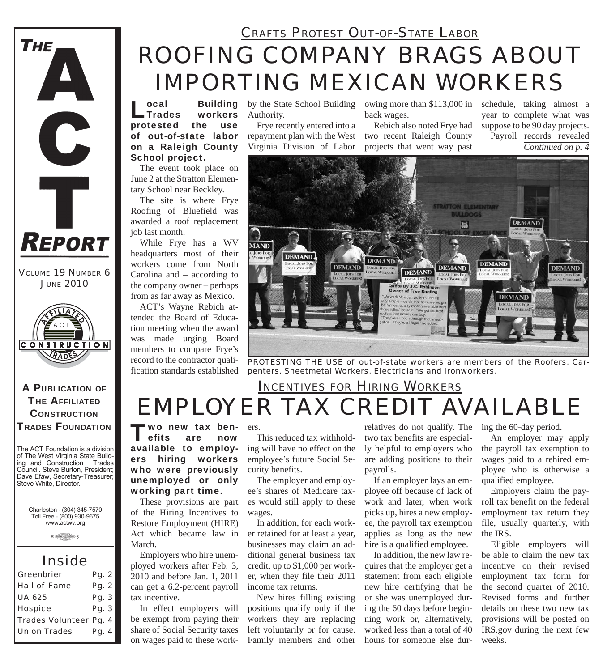

*VOLUME 19 NUMBER 6 JUNE 2010*



A PUBLICATION OF **THE AFFILIATED CONSTRUCTION** TRADES FOUNDATION

The ACT Foundation is a division of The West Virginia State Building and Construction Trades Council. Steve Burton, President; Dave Efaw, Secretary-Treasurer; Steve White, Director.

Charleston - (304) 345-7570 Toll Free - (800) 930-9675 www.actwv.org

 $A$  (TRADES (Will COUNCIL)  $6$ 

#### *Inside*

| Greenbrier             | Pq. 2 |  |
|------------------------|-------|--|
| <b>Hall of Fame</b>    | Pq. 2 |  |
| <b>UA 625</b>          | Pq. 3 |  |
| <b>Hospice</b>         | Pq. 3 |  |
| Trades Volunteer Pg. 4 |       |  |
| <b>Union Trades</b>    | Pg. 4 |  |

## *ROOFING COMPANY BRAGS ABOUT IMPORTING MEXICAN WORKERS CRAFTS PROTEST OUT-OF-STATE LABOR*

ocal Building<br>Trades workers<br>ptested the use workers protested of out-of-state labor on a Raleigh County School project.

The event took place on June 2 at the Stratton Elementary School near Beckley.

The site is where Frye Roofing of Bluefield was awarded a roof replacement job last month.

While Frye has a WV headquarters most of their workers come from North Carolina and – according to the company owner – perhaps from as far away as Mexico.

ACT's Wayne Rebich attended the Board of Education meeting when the award was made urging Board members to compare Frye's record to the contractor qualification standards established

Authority.

Frye recently entered into a repayment plan with the West Virginia Division of Labor

by the State School Building owing more than \$113,000 in back wages.

> Rebich also noted Frye had two recent Raleigh County projects that went way past

schedule, taking almost a year to complete what was suppose to be 90 day projects. Payroll records revealed *Continued on p. 4*



*PROTESTING THE USE of out-of-state workers are members of the Roofers, Carpenters, Sheetmetal Workers, Electricians and Ironworkers.*

## *EMPLOYER TAX CREDIT AVAILABLE INCENTIVES FOR HIRING WORKERS*

"wo new tax ben-<br>efits are now efits available to employers hiring workers who were previously unemployed or only working part time.

These provisions are part of the Hiring Incentives to Restore Employment (HIRE) Act which became law in March.

Employers who hire unemployed workers after Feb. 3, 2010 and before Jan. 1, 2011 can get a 6.2-percent payroll tax incentive.

In effect employers will be exempt from paying their share of Social Security taxes on wages paid to these work-

ers.

This reduced tax withholding will have no effect on the employee's future Social Security benefits.

The employer and employee's shares of Medicare taxes would still apply to these wages.

In addition, for each worker retained for at least a year, businesses may claim an additional general business tax credit, up to \$1,000 per worker, when they file their 2011 income tax returns.

New hires filling existing positions qualify only if the workers they are replacing left voluntarily or for cause. Family members and other

relatives do not qualify. The two tax benefits are especially helpful to employers who are adding positions to their payrolls.

If an employer lays an employee off because of lack of work and later, when work picks up, hires a new employee, the payroll tax exemption applies as long as the new hire is a qualified employee.

In addition, the new law requires that the employer get a statement from each eligible new hire certifying that he or she was unemployed during the 60 days before beginning work or, alternatively, worked less than a total of 40 hours for someone else during the 60-day period.

An employer may apply the payroll tax exemption to wages paid to a rehired employee who is otherwise a qualified employee.

Employers claim the payroll tax benefit on the federal employment tax return they file, usually quarterly, with the IRS.

Eligible employers will be able to claim the new tax incentive on their revised employment tax form for the second quarter of 2010. Revised forms and further details on these two new tax provisions will be posted on IRS.gov during the next few weeks.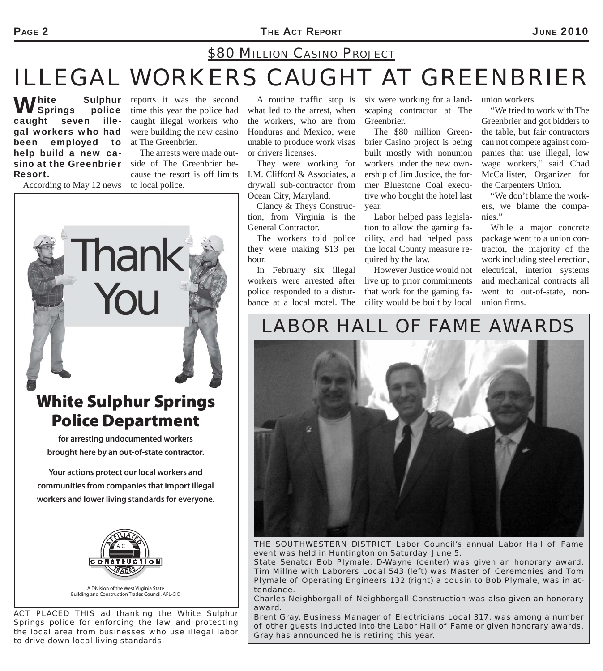#### PAGE 2 **THE ACT REPORT** 2010

#### *\$80 MILLION CASINO PROJECT*

# *ILLEGAL WORKERS CAUGHT AT GREENBRIER*

White Sulphur<br> **W** Springs police caught seven illegal workers who had been employed to help build a new casino at the Greenbrier Resort.

According to May 12 news

**Sulphur** reports it was the second time this year the police had caught illegal workers who were building the new casino at The Greenbrier.

> The arrests were made outside of The Greenbrier because the resort is off limits to local police.

what led to the arrest, when the workers, who are from Honduras and Mexico, were unable to produce work visas or drivers licenses.

They were working for I.M. Clifford & Associates, a drywall sub-contractor from Ocean City, Maryland.

Clancy & Theys Construction, from Virginia is the General Contractor.

The workers told police they were making \$13 per hour.

In February six illegal workers were arrested after police responded to a disturbance at a local motel. The

A routine traffic stop is six were working for a landscaping contractor at The Greenbrier.

> The \$80 million Greenbrier Casino project is being built mostly with nonunion workers under the new ownership of Jim Justice, the former Bluestone Coal executive who bought the hotel last year.

> Labor helped pass legislation to allow the gaming facility, and had helped pass the local County measure required by the law.

> However Justice would not live up to prior commitments that work for the gaming facility would be built by local

union workers.

"We tried to work with The Greenbrier and got bidders to the table, but fair contractors can not compete against companies that use illegal, low wage workers," said Chad McCallister, Organizer for the Carpenters Union.

"We don't blame the workers, we blame the companies."

While a major concrete package went to a union contractor, the majority of the work including steel erection, electrical, interior systems and mechanical contracts all went to out-of-state, nonunion firms.

## *LABOR HALL OF FAME AWARDS*



*THE SOUTHWESTERN DISTRICT Labor Council's annual Labor Hall of Fame event was held in Huntington on Saturday, June 5.*

*State Senator Bob Plymale, D-Wayne (center) was given an honorary award, Tim Millne with Laborers Local 543 (left) was Master of Ceremonies and Tom Plymale of Operating Engineers 132 (right) a cousin to Bob Plymale, was in attendance.*

*Charles Neighborgall of Neighborgall Construction was also given an honorary award.* 

*Brent Gray, Business Manager of Electricians Local 317, was among a number of other guests inducted into the Labor Hall of Fame or given honorary awards. Gray has announced he is retiring this year.*

# **White Sulphur Springs**

**Thank** 

You

**for arresting undocumented workers brought here by an out-of-state contractor.** 

**Your actions protect our local workers and communities from companies that import illegal workers and lower living standards for everyone.**



*ACT PLACED THIS ad thanking the White Sulphur Springs police for enforcing the law and protecting the local area from businesses who use illegal labor to drive down local living standards.*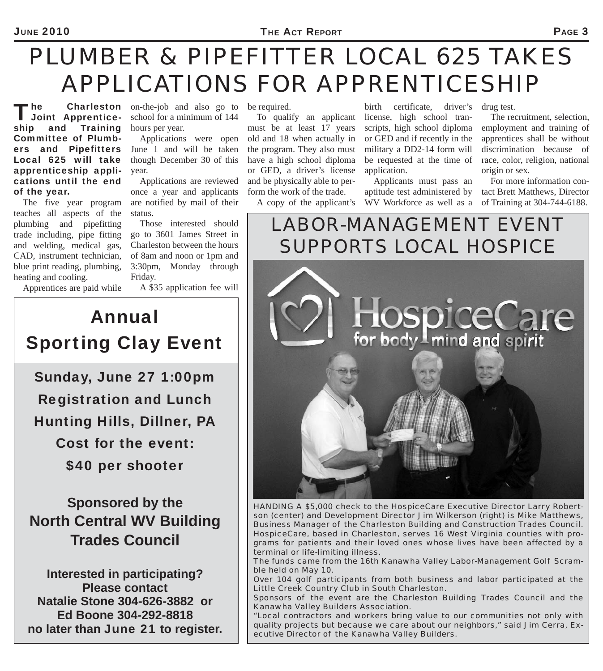# *PLUMBER & PIPEFITTER LOCAL 625 TAKES APPLICATIONS FOR APPRENTICESHIP*

The Charleston<br>
Joint Apprenticeship and Training Committee of Plumbers and Pipefitters Local 625 will take apprenticeship applications until the end of the year.

The five year program teaches all aspects of the plumbing and pipefitting trade including, pipe fitting and welding, medical gas, CAD, instrument technician, blue print reading, plumbing, heating and cooling.

on-the-job and also go to be required. school for a minimum of 144 hours per year.

Applications were open June 1 and will be taken though December 30 of this year.

Applications are reviewed once a year and applicants are notified by mail of their status.

Those interested should go to 3601 James Street in Charleston between the hours of 8am and noon or 1pm and 3:30pm, Monday through Friday.

Apprentices are paid while

A \$35 application fee will

Annual Sporting Clay Event

Sunday, June 27 1:00pm Registration and Lunch Hunting Hills, Dillner, PA Cost for the event: \$40 per shooter

**Sponsored by the North Central WV Building Trades Council**

**Interested in participating? Please contact Natalie Stone 304-626-3882 or Ed Boone 304-292-8818 no later than** June 21 **to register.**

must be at least 17 years old and 18 when actually in the program. They also must have a high school diploma or GED, a driver's license and be physically able to perform the work of the trade.

A copy of the applicant's

To qualify an applicant license, high school tranbirth certificate, driver's drug test. scripts, high school diploma or GED and if recently in the military a DD2-14 form will be requested at the time of application.

> Applicants must pass an aptitude test administered by WV Workforce as well as a

The recruitment, selection, employment and training of apprentices shall be without discrimination because of race, color, religion, national origin or sex.

For more information contact Brett Matthews, Director of Training at 304-744-6188.

*LABOR-MANAGEMENT EVENT SUPPORTS LOCAL HOSPICE*



*HANDING A \$5,000 check to the HospiceCare Executive Director Larry Robertson (center) and Development Director Jim Wilkerson (right) is Mike Matthews, Business Manager of the Charleston Building and Construction Trades Council. HospiceCare, based in Charleston, serves 16 West Virginia counties with programs for patients and their loved ones whose lives have been affected by a terminal or life-limiting illness.*

*The funds came from the 16th Kanawha Valley Labor-Management Golf Scramble held on May 10.*

*Over 104 golf participants from both business and labor participated at the Little Creek Country Club in South Charleston.* 

*Sponsors of the event are the Charleston Building Trades Council and the Kanawha Valley Builders Association.*

*"Local contractors and workers bring value to our communities not only with quality projects but because we care about our neighbors," said Jim Cerra, Executive Director of the Kanawha Valley Builders.*